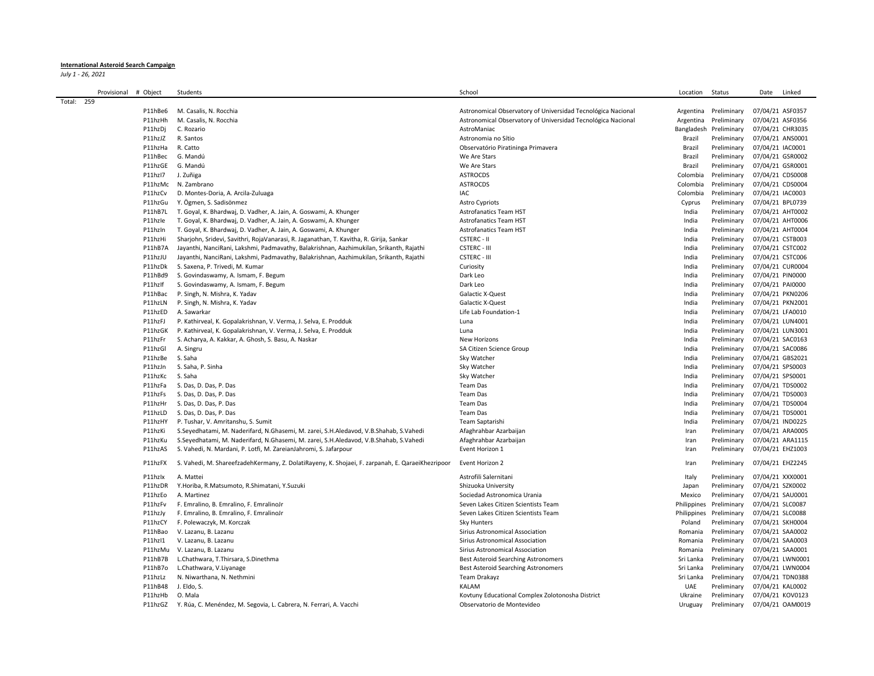## **International Asteroid Search Campaign**

*July 1 - 26, 2021*

|            | Provisional | # Object | Students                                                                                         | School                                                       | Location   | Status                  | Date             | Linked |
|------------|-------------|----------|--------------------------------------------------------------------------------------------------|--------------------------------------------------------------|------------|-------------------------|------------------|--------|
| Total: 259 |             |          |                                                                                                  |                                                              |            |                         |                  |        |
|            |             | P11hBe6  | M. Casalis, N. Rocchia                                                                           | Astronomical Observatory of Universidad Tecnológica Nacional | Argentina  | Preliminary             | 07/04/21 ASF0357 |        |
|            |             | P11hzHh  | M. Casalis, N. Rocchia                                                                           | Astronomical Observatory of Universidad Tecnológica Nacional | Argentina  | Preliminary             | 07/04/21 ASF0356 |        |
|            |             | P11hzDj  | C. Rozario                                                                                       | AstroManiac                                                  | Bangladesh | Preliminary             | 07/04/21 CHR3035 |        |
|            |             | P11hzJZ  | R. Santos                                                                                        | Astronomia no Sítio                                          | Brazil     | Preliminary             | 07/04/21 ANS0001 |        |
|            |             | P11hzHa  | R. Catto                                                                                         | Observatório Piratininga Primavera                           | Brazil     | Preliminary             | 07/04/21 IAC0001 |        |
|            |             | P11hBec  | G. Mandú                                                                                         | We Are Stars                                                 | Brazil     | Preliminary             | 07/04/21 GSR0002 |        |
|            |             | P11hzGE  | G. Mandú                                                                                         | We Are Stars                                                 | Brazil     | Preliminary             | 07/04/21 GSR0001 |        |
|            |             | P11hzI7  | J. Zuñiga                                                                                        | <b>ASTROCDS</b>                                              | Colombia   | Preliminary             | 07/04/21 CDS0008 |        |
|            |             | P11hzMc  | N. Zambrano                                                                                      | <b>ASTROCDS</b>                                              | Colombia   | Preliminary             | 07/04/21 CDS0004 |        |
|            |             | P11hzCv  | D. Montes-Doria, A. Arcila-Zuluaga                                                               | IAC                                                          | Colombia   | Preliminary             | 07/04/21 IAC0003 |        |
|            |             | P11hzGu  | Y. Ögmen, S. Sadisönmez                                                                          | <b>Astro Cypriots</b>                                        | Cyprus     | Preliminary             | 07/04/21 BPL0739 |        |
|            |             | P11hB7L  | T. Goyal, K. Bhardwaj, D. Vadher, A. Jain, A. Goswami, A. Khunger                                | <b>Astrofanatics Team HST</b>                                | India      | Preliminary             | 07/04/21 AHT0002 |        |
|            |             | P11hzle  | T. Goyal, K. Bhardwaj, D. Vadher, A. Jain, A. Goswami, A. Khunger                                | <b>Astrofanatics Team HST</b>                                | India      | Preliminary             | 07/04/21 AHT0006 |        |
|            |             | P11hzIn  | T. Goyal, K. Bhardwaj, D. Vadher, A. Jain, A. Goswami, A. Khunger                                | <b>Astrofanatics Team HST</b>                                | India      | Preliminary             | 07/04/21 AHT0004 |        |
|            |             | P11hzHi  |                                                                                                  | <b>CSTERC - II</b>                                           | India      | Preliminary             |                  |        |
|            |             |          | Sharjohn, Sridevi, Savithri, RojaVanarasi, R. Jaganathan, T. Kavitha, R. Girija, Sankar          |                                                              |            |                         | 07/04/21 CSTB003 |        |
|            |             | P11hB7A  | Jayanthi, NanciRani, Lakshmi, Padmavathy, Balakrishnan, Aazhimukilan, Srikanth, Rajathi          | <b>CSTERC - III</b>                                          | India      | Preliminary             | 07/04/21 CSTC002 |        |
|            |             | P11hzJU  | Jayanthi, NanciRani, Lakshmi, Padmavathy, Balakrishnan, Aazhimukilan, Srikanth, Rajathi          | <b>CSTERC - III</b>                                          | India      | Preliminary             | 07/04/21 CSTC006 |        |
|            |             | P11hzDk  | S. Saxena, P. Trivedi, M. Kumar                                                                  | Curiosity                                                    | India      | Preliminary             | 07/04/21 CUR0004 |        |
|            |             | P11hBd9  | S. Govindaswamy, A. Ismam, F. Begum                                                              | Dark Leo                                                     | India      | Preliminary             | 07/04/21 PIN0000 |        |
|            |             | P11hzIf  | S. Govindaswamy, A. Ismam, F. Begum                                                              | Dark Leo                                                     | India      | Preliminary             | 07/04/21 PAI0000 |        |
|            |             | P11hBac  | P. Singh, N. Mishra, K. Yadav                                                                    | Galactic X-Quest                                             | India      | Preliminary             | 07/04/21 PKN0206 |        |
|            |             | P11hzLN  | P. Singh, N. Mishra, K. Yadav                                                                    | Galactic X-Quest                                             | India      | Preliminary             | 07/04/21 PKN2001 |        |
|            |             | P11hzED  | A. Sawarkar                                                                                      | Life Lab Foundation-1                                        | India      | Preliminary             | 07/04/21 LFA0010 |        |
|            |             | P11hzFJ  | P. Kathirveal, K. Gopalakrishnan, V. Verma, J. Selva, E. Prodduk                                 | Luna                                                         | India      | Preliminary             | 07/04/21 LUN4001 |        |
|            |             | P11hzGK  | P. Kathirveal, K. Gopalakrishnan, V. Verma, J. Selva, E. Prodduk                                 | Luna                                                         | India      | Preliminary             | 07/04/21 LUN3001 |        |
|            |             | P11hzFr  | S. Acharya, A. Kakkar, A. Ghosh, S. Basu, A. Naskar                                              | New Horizons                                                 | India      | Preliminary             | 07/04/21 SAC0163 |        |
|            |             | P11hzGl  | A. Singru                                                                                        | SA Citizen Science Group                                     | India      | Preliminary             | 07/04/21 SAC0086 |        |
|            |             | P11hzBe  | S. Saha                                                                                          | Sky Watcher                                                  | India      | Preliminary             | 07/04/21 GBS2021 |        |
|            |             | P11hzJn  | S. Saha, P. Sinha                                                                                | Sky Watcher                                                  | India      | Preliminary             | 07/04/21 SPS0003 |        |
|            |             | P11hzKc  | S. Saha                                                                                          | Sky Watcher                                                  | India      | Preliminary             | 07/04/21 SPS0001 |        |
|            |             | P11hzFa  | S. Das, D. Das, P. Das                                                                           | Team Das                                                     | India      | Preliminary             | 07/04/21 TDS0002 |        |
|            |             | P11hzFs  | S. Das, D. Das, P. Das                                                                           | Team Das                                                     | India      | Preliminary             | 07/04/21 TDS0003 |        |
|            |             | P11hzHr  | S. Das, D. Das, P. Das                                                                           | <b>Team Das</b>                                              | India      | Preliminary             | 07/04/21 TDS0004 |        |
|            |             | P11hzLD  | S. Das, D. Das, P. Das                                                                           | Team Das                                                     | India      | Preliminary             | 07/04/21 TDS0001 |        |
|            |             | P11hzHY  | P. Tushar, V. Amritanshu, S. Sumit                                                               | Team Saptarishi                                              | India      | Preliminary             | 07/04/21 IND0225 |        |
|            |             | P11hzKi  | S.Seyedhatami, M. Naderifard, N. Ghasemi, M. zarei, S.H. Aledavod, V.B. Shahab, S. Vahedi        | Afaghrahbar Azarbaijan                                       | Iran       | Preliminary             | 07/04/21 ARA0005 |        |
|            |             | P11hzKu  | S.Seyedhatami, M. Naderifard, N.Ghasemi, M. zarei, S.H.Aledavod, V.B.Shahab, S.Vahedi            | Afaghrahbar Azarbaijan                                       | Iran       | Preliminary             | 07/04/21 ARA1115 |        |
|            |             | P11hzAS  | S. Vahedi, N. Mardani, P. Lotfi, M. ZareianJahromi, S. Jafarpour                                 | Event Horizon 1                                              | Iran       | Preliminary             | 07/04/21 EHZ1003 |        |
|            |             |          |                                                                                                  |                                                              |            |                         |                  |        |
|            |             | P11hzFX  | S. Vahedi, M. ShareefzadehKermany, Z. DolatiRayeny, K. Shojaei, F. zarpanah, E. QaraeiKhezripoor | Event Horizon 2                                              | Iran       | Preliminary             | 07/04/21 EHZ2245 |        |
|            |             | P11hzlx  | A. Mattei                                                                                        | Astrofili Salernitani                                        | Italy      | Preliminary             | 07/04/21 XXX0001 |        |
|            |             | P11hzDR  | Y.Horiba, R.Matsumoto, R.Shimatani, Y.Suzuki                                                     | Shizuoka University                                          | Japan      | Preliminary             | 07/04/21 SZK0002 |        |
|            |             | P11hzEo  | A. Martinez                                                                                      | Sociedad Astronomica Urania                                  | Mexico     | Preliminary             | 07/04/21 SAU0001 |        |
|            |             | P11hzFv  | F. Emralino, B. Emralino, F. EmralinoJr                                                          | Seven Lakes Citizen Scientists Team                          |            | Philippines Preliminary | 07/04/21 SLC0087 |        |
|            |             | P11hzJy  | F. Emralino, B. Emralino, F. EmralinoJr                                                          | Seven Lakes Citizen Scientists Team                          |            | Philippines Preliminary | 07/04/21 SLC0088 |        |
|            |             | P11hzCY  | F. Polewaczyk, M. Korczak                                                                        | Sky Hunters                                                  | Poland     | Preliminary             | 07/04/21 SKH0004 |        |
|            |             | P11hBao  | V. Lazanu, B. Lazanu                                                                             | Sirius Astronomical Association                              | Romania    | Preliminary             | 07/04/21 SAA0002 |        |
|            |             | P11hzI1  | V. Lazanu, B. Lazanu                                                                             | Sirius Astronomical Association                              | Romania    | Preliminary             | 07/04/21 SAA0003 |        |
|            |             | P11hzMu  | V. Lazanu. B. Lazanu                                                                             | Sirius Astronomical Association                              | Romania    | Preliminary             | 07/04/21 SAA0001 |        |
|            |             | P11hB7B  | L.Chathwara, T.Thirsara, S.Dinethma                                                              | <b>Best Asteroid Searching Astronomers</b>                   | Sri Lanka  | Preliminary             | 07/04/21 LWN0001 |        |
|            |             | P11hB7o  | L.Chathwara, V.Liyanage                                                                          | <b>Best Asteroid Searching Astronomers</b>                   | Sri Lanka  | Preliminary             | 07/04/21 LWN0004 |        |
|            |             | P11hzLz  | N. Niwarthana, N. Nethmini                                                                       | Team Drakayz                                                 | Sri Lanka  | Preliminary             | 07/04/21 TDN0388 |        |
|            |             | P11hB48  | J. Eldo, S.                                                                                      | KALAM                                                        | <b>UAE</b> | Preliminary             | 07/04/21 KAL0002 |        |
|            |             | P11hzHb  | O. Mala                                                                                          | Kovtuny Educational Complex Zolotonosha District             | Ukraine    | Preliminary             | 07/04/21 KOV0123 |        |
|            |             |          |                                                                                                  |                                                              |            |                         |                  |        |
|            |             |          | P11hzGZ Y. Rúa, C. Menéndez, M. Segovia, L. Cabrera, N. Ferrari, A. Vacchi                       | Observatorio de Montevideo                                   | Uruguay    | Preliminary             | 07/04/21 OAM0019 |        |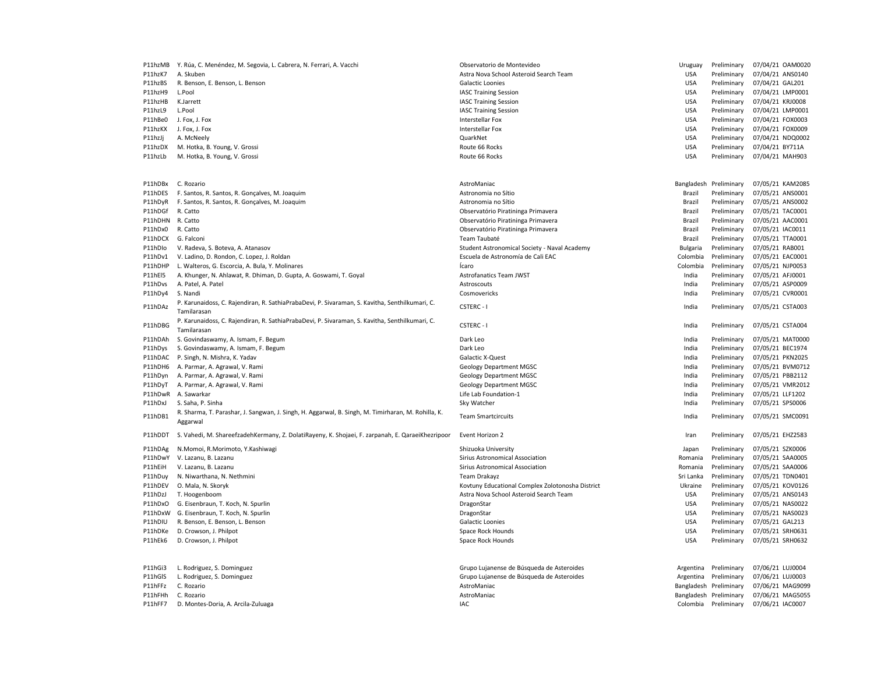|                  | P11hzMB Y. Rúa, C. Menéndez, M. Segovia, L. Cabrera, N. Ferrari, A. Vacchi                                     | Observatorio de Montevideo                       | Uruguay         | Preliminary            | 07/04/21 OAM0020 |
|------------------|----------------------------------------------------------------------------------------------------------------|--------------------------------------------------|-----------------|------------------------|------------------|
| P11hzK7          | A. Skuben                                                                                                      | Astra Nova School Asteroid Search Team           | <b>USA</b>      | Preliminary            | 07/04/21 ANS0140 |
| P11hzBS          | R. Benson, E. Benson, L. Benson                                                                                | Galactic Loonies                                 | <b>USA</b>      | Preliminary            | 07/04/21 GAL201  |
| P11hzH9          | L.Pool                                                                                                         | <b>IASC Training Session</b>                     | <b>USA</b>      | Preliminary            | 07/04/21 LMP0001 |
| P11hzHB          | K.Jarrett                                                                                                      | <b>IASC Training Session</b>                     | <b>USA</b>      | Preliminary            | 07/04/21 KRJ0008 |
| P11hzL9          | L.Pool                                                                                                         | <b>IASC Training Session</b>                     | USA             | Preliminary            | 07/04/21 LMP0001 |
| P11hBe0          | J. Fox, J. Fox                                                                                                 | Interstellar Fox                                 | USA             | Preliminary            | 07/04/21 FOX0003 |
| P11hzKX          | J. Fox, J. Fox                                                                                                 | Interstellar Fox                                 | <b>USA</b>      | Preliminary            | 07/04/21 FOX0009 |
| P11hzJj          | A. McNeely                                                                                                     | QuarkNet                                         | <b>USA</b>      | Preliminary            | 07/04/21 NDQ0002 |
|                  |                                                                                                                |                                                  | <b>USA</b>      |                        | 07/04/21 BY711A  |
| P11hzDX          | M. Hotka, B. Young, V. Grossi                                                                                  | Route 66 Rocks                                   |                 | Preliminary            |                  |
| P11hzLb          | M. Hotka, B. Young, V. Grossi                                                                                  | Route 66 Rocks                                   | <b>USA</b>      | Preliminary            | 07/04/21 MAH903  |
| P11hDBx          | C. Rozario                                                                                                     | AstroManiac                                      |                 | Bangladesh Preliminary | 07/05/21 KAM2085 |
| P11hDES          | F. Santos, R. Santos, R. Gonçalves, M. Joaquim                                                                 | Astronomia no Sítio                              | Brazil          | Preliminary            | 07/05/21 ANS0001 |
|                  | F. Santos, R. Santos, R. Gonçalves, M. Joaquim                                                                 | Astronomia no Sítio                              | Brazil          | Preliminary            | 07/05/21 ANS0002 |
| P11hDyR          |                                                                                                                |                                                  |                 |                        |                  |
| P11hDGf          | R. Catto                                                                                                       | Observatório Piratininga Primavera               | Brazil          | Preliminary            | 07/05/21 TAC0001 |
| P11hDHN R. Catto |                                                                                                                | Observatório Piratininga Primavera               | Brazil          | Preliminary            | 07/05/21 AAC0001 |
| P11hDx0          | R. Catto                                                                                                       | Observatório Piratininga Primavera               | Brazil          | Preliminary            | 07/05/21 IAC0011 |
| P11hDCX          | G. Falconi                                                                                                     | Team Taubaté                                     | Brazil          | Preliminary            | 07/05/21 TTA0001 |
| P11hDlo          | V. Radeva, S. Boteva, A. Atanasov                                                                              | Student Astronomical Society - Naval Academy     | <b>Bulgaria</b> | Preliminary            | 07/05/21 RAB001  |
| P11hDv1          | V. Ladino, D. Rondon, C. Lopez, J. Roldan                                                                      | Escuela de Astronomía de Cali EAC                | Colombia        | Preliminary            | 07/05/21 EAC0001 |
| P11hDHP          | L. Walteros, G. Escorcia, A. Bula, Y. Molinares                                                                | Icaro                                            | Colombia        | Preliminary            | 07/05/21 NJP0053 |
| P11hEl5          | A. Khunger, N. Ahlawat, R. Dhiman, D. Gupta, A. Goswami, T. Goyal                                              | Astrofanatics Team JWST                          | India           | Preliminary            | 07/05/21 AFJ0001 |
| P11hDvs          | A. Patel, A. Patel                                                                                             | Astroscouts                                      | India           | Preliminary            | 07/05/21 ASP0009 |
| P11hDy4          | S. Nandi                                                                                                       | Cosmovericks                                     | India           | Preliminary            | 07/05/21 CVR0001 |
| P11hDAz          | P. Karunaidoss, C. Rajendiran, R. SathiaPrabaDevi, P. Sivaraman, S. Kavitha, Senthilkumari, C.<br>Tamilarasan  | CSTERC - I                                       | India           | Preliminary            | 07/05/21 CSTA003 |
| P11hDBG          | P. Karunaidoss, C. Rajendiran, R. SathiaPrabaDevi, P. Sivaraman, S. Kavitha, Senthilkumari, C.<br>Tamilarasan  | CSTERC - I                                       | India           | Preliminary            | 07/05/21 CSTA004 |
| P11hDAh          | S. Govindaswamy, A. Ismam, F. Begum                                                                            | Dark Leo                                         | India           | Preliminary            | 07/05/21 MAT0000 |
|                  |                                                                                                                | Dark Leo                                         | India           |                        |                  |
| P11hDys          | S. Govindaswamy, A. Ismam, F. Begum                                                                            |                                                  |                 | Preliminary            | 07/05/21 BEC1974 |
| P11hDAC          | P. Singh, N. Mishra, K. Yadav                                                                                  | Galactic X-Quest                                 | India           | Preliminary            | 07/05/21 PKN2025 |
| P11hDH6          | A. Parmar, A. Agrawal, V. Rami                                                                                 | <b>Geology Department MGSC</b>                   | India           | Preliminary            | 07/05/21 BVM0712 |
| P11hDyn          | A. Parmar, A. Agrawal, V. Rami                                                                                 | <b>Geology Department MGSC</b>                   | India           | Preliminary            | 07/05/21 PBB2112 |
| P11hDyT          | A. Parmar, A. Agrawal, V. Rami                                                                                 | <b>Geology Department MGSC</b>                   | India           | Preliminary            | 07/05/21 VMR2012 |
| P11hDwR          | A. Sawarkar                                                                                                    | Life Lab Foundation-1                            | India           | Preliminary            | 07/05/21 LLF1202 |
| P11hDxJ          | S. Saha, P. Sinha                                                                                              | Sky Watcher                                      | India           | Preliminary            | 07/05/21 SPS0006 |
| P11hDB1          | R. Sharma, T. Parashar, J. Sangwan, J. Singh, H. Aggarwal, B. Singh, M. Timirharan, M. Rohilla, K.<br>Aggarwal | <b>Team Smartcircuits</b>                        | India           | Preliminary            | 07/05/21 SMC0091 |
| P11hDDT          | S. Vahedi, M. ShareefzadehKermany, Z. DolatiRayeny, K. Shojaei, F. zarpanah, E. QaraeiKhezripoor               | Event Horizon 2                                  | Iran            | Preliminary            | 07/05/21 EHZ2583 |
| P11hDAg          | N.Momoi, R.Morimoto, Y.Kashiwagi                                                                               | Shizuoka University                              | Japan           | Preliminary            | 07/05/21 SZK0006 |
| P11hDwY          | V. Lazanu, B. Lazanu                                                                                           | Sirius Astronomical Association                  | Romania         | Preliminary            | 07/05/21 SAA0005 |
|                  |                                                                                                                |                                                  |                 |                        |                  |
| P11hEiH          | V. Lazanu, B. Lazanu                                                                                           | Sirius Astronomical Association                  | Romania         | Preliminary            | 07/05/21 SAA0006 |
| P11hDuy          | N. Niwarthana, N. Nethmini                                                                                     | Team Drakayz                                     | Sri Lanka       | Preliminary            | 07/05/21 TDN0401 |
| P11hDEV          | O. Mala, N. Skoryk                                                                                             | Kovtuny Educational Complex Zolotonosha District | Ukraine         | Preliminary            | 07/05/21 KOV0126 |
| P11hDzJ          | T. Hoogenboom                                                                                                  | Astra Nova School Asteroid Search Team           | <b>USA</b>      | Preliminary            | 07/05/21 ANS0143 |
| P11hDxO          | G. Eisenbraun, T. Koch, N. Spurlin                                                                             | DragonStar                                       | <b>USA</b>      | Preliminary            | 07/05/21 NAS0022 |
|                  | P11hDxW G. Eisenbraun, T. Koch, N. Spurlin                                                                     | DragonStar                                       | <b>USA</b>      | Preliminary            | 07/05/21 NAS0023 |
| P11hDIU          | R. Benson, E. Benson, L. Benson                                                                                | Galactic Loonies                                 | <b>USA</b>      | Preliminary            | 07/05/21 GAL213  |
| P11hDKe          | D. Crowson, J. Philpot                                                                                         | Space Rock Hounds                                | <b>USA</b>      | Preliminary            | 07/05/21 SRH0631 |
| P11hEk6          | D. Crowson, J. Philpot                                                                                         | Space Rock Hounds                                | <b>USA</b>      | Preliminary            | 07/05/21 SRH0632 |
| P11hGi3          | L. Rodriguez, S. Dominguez                                                                                     | Grupo Lujanense de Búsqueda de Asteroides        | Argentina       | Preliminary            | 07/06/21 LUJ0004 |
|                  |                                                                                                                |                                                  |                 |                        | 07/06/21 LUJ0003 |
| P11hGIS          | L. Rodriguez, S. Dominguez                                                                                     | Grupo Lujanense de Búsqueda de Asteroides        | Argentina       | Preliminary            |                  |
| P11hFFz          | C. Rozario                                                                                                     | AstroManiac                                      | Bangladesh      | Preliminary            | 07/06/21 MAG9099 |
| P11hFHh          | C. Rozario                                                                                                     | AstroManiac                                      |                 | Bangladesh Preliminary | 07/06/21 MAG5055 |
| P11hFF7          | D. Montes-Doria, A. Arcila-Zuluaga                                                                             | IAC                                              |                 | Colombia Preliminary   | 07/06/21 IAC0007 |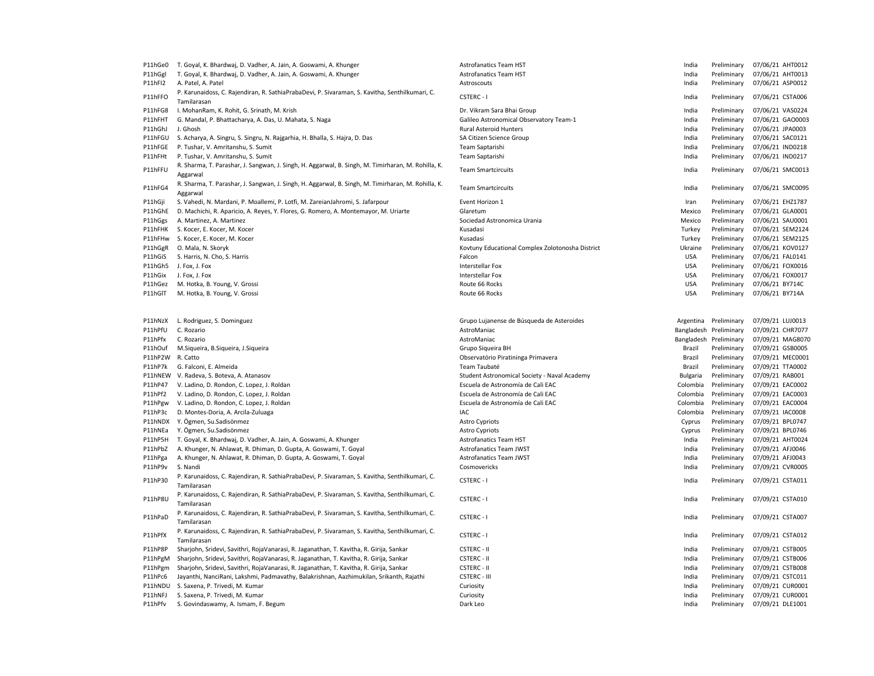| P11hGe0          | T. Goyal, K. Bhardwaj, D. Vadher, A. Jain, A. Goswami, A. Khunger                                              | <b>Astrofanatics Team HST</b>                    | India      | Preliminary            | 07/06/21 AHT0012 |  |
|------------------|----------------------------------------------------------------------------------------------------------------|--------------------------------------------------|------------|------------------------|------------------|--|
| P11hGgl          | T. Goyal, K. Bhardwaj, D. Vadher, A. Jain, A. Goswami, A. Khunger                                              | <b>Astrofanatics Team HST</b>                    | India      | Preliminary            | 07/06/21 AHT0013 |  |
| P11hFI2          | A. Patel, A. Patel                                                                                             | Astroscouts                                      | India      | Preliminary            | 07/06/21 ASP0012 |  |
| P11hFFO          | P. Karunaidoss, C. Rajendiran, R. SathiaPrabaDevi, P. Sivaraman, S. Kavitha, Senthilkumari, C.<br>Tamilarasan  | <b>CSTERC-1</b>                                  | India      | Preliminary            | 07/06/21 CSTA006 |  |
| P11hFG8          | I. MohanRam, K. Rohit, G. Srinath, M. Krish                                                                    | Dr. Vikram Sara Bhai Group                       | India      | Preliminary            | 07/06/21 VAS0224 |  |
| P11hFHT          | G. Mandal, P. Bhattacharya, A. Das, U. Mahata, S. Naga                                                         | Galileo Astronomical Observatory Team-1          | India      | Preliminary            | 07/06/21 GAO0003 |  |
| P11hGhJ          | J. Ghosh                                                                                                       | <b>Rural Asteroid Hunters</b>                    | India      | Preliminary            | 07/06/21 JPA0003 |  |
| P11hFGU          | S. Acharya, A. Singru, S. Singru, N. Rajgarhia, H. Bhalla, S. Hajra, D. Das                                    | SA Citizen Science Group                         | India      | Preliminary            | 07/06/21 SAC0121 |  |
| P11hFGE          | P. Tushar, V. Amritanshu, S. Sumit                                                                             | Team Saptarishi                                  | India      | Preliminary            | 07/06/21 IND0218 |  |
| P11hFHt          | P. Tushar, V. Amritanshu, S. Sumit                                                                             | Team Saptarishi                                  | India      | Preliminary            | 07/06/21 IND0217 |  |
|                  | R. Sharma, T. Parashar, J. Sangwan, J. Singh, H. Aggarwal, B. Singh, M. Timirharan, M. Rohilla, K.             |                                                  |            |                        |                  |  |
| P11hFFU          | Aggarwal                                                                                                       | <b>Team Smartcircuits</b>                        | India      | Preliminary            | 07/06/21 SMC0013 |  |
| P11hFG4          | R. Sharma, T. Parashar, J. Sangwan, J. Singh, H. Aggarwal, B. Singh, M. Timirharan, M. Rohilla, K.<br>Aggarwal | <b>Team Smartcircuits</b>                        | India      | Preliminary            | 07/06/21 SMC0095 |  |
| P11hGji          | S. Vahedi, N. Mardani, P. Moallemi, P. Lotfi, M. ZareianJahromi, S. Jafarpour                                  | Event Horizon 1                                  | Iran       | Preliminary            | 07/06/21 EHZ1787 |  |
| P11hGhE          | D. Machichi, R. Aparicio, A. Reyes, Y. Flores, G. Romero, A. Montemayor, M. Uriarte                            | Glaretum                                         | Mexico     | Preliminary            | 07/06/21 GLA0001 |  |
| P11hGgs          | A. Martinez, A. Martinez                                                                                       | Sociedad Astronomica Urania                      | Mexico     | Preliminary            | 07/06/21 SAU0001 |  |
|                  | P11hFHK S. Kocer, E. Kocer, M. Kocer                                                                           | Kusadasi                                         | Turkey     | Preliminary            | 07/06/21 SEM2124 |  |
|                  | P11hFHw S. Kocer, E. Kocer, M. Kocer                                                                           | Kusadasi                                         | Turkey     | Preliminary            | 07/06/21 SEM2125 |  |
| P11hGgR          | O. Mala, N. Skoryk                                                                                             | Kovtuny Educational Complex Zolotonosha District | Ukraine    | Preliminary            | 07/06/21 KOV0127 |  |
| P11hGiS          | S. Harris, N. Cho, S. Harris                                                                                   | Falcon                                           | <b>USA</b> | Preliminary            | 07/06/21 FAL0141 |  |
|                  | P11hGh5 J. Fox, J. Fox                                                                                         | <b>Interstellar Fox</b>                          | <b>USA</b> | Preliminary            | 07/06/21 FOX0016 |  |
|                  |                                                                                                                | Interstellar Fox                                 | <b>USA</b> |                        | 07/06/21 FOX0017 |  |
| P11hGix          | J. Fox, J. Fox                                                                                                 |                                                  |            | Preliminary            |                  |  |
| P11hGez          | M. Hotka, B. Young, V. Grossi                                                                                  | Route 66 Rocks                                   | <b>USA</b> | Preliminary            | 07/06/21 BY714C  |  |
| P11hGIT          | M. Hotka, B. Young, V. Grossi                                                                                  | Route 66 Rocks                                   | <b>USA</b> | Preliminary            | 07/06/21 BY714A  |  |
|                  | P11hNzX L. Rodriguez, S. Dominguez                                                                             | Grupo Lujanense de Búsqueda de Asteroides        |            | Argentina Preliminary  | 07/09/21 LUJ0013 |  |
| P11hPfU          | C. Rozario                                                                                                     | AstroManiac                                      |            | Bangladesh Preliminary | 07/09/21 CHR7077 |  |
| P11hPfx          | C. Rozario                                                                                                     | AstroManiac                                      |            | Bangladesh Preliminary | 07/09/21 MAG8070 |  |
|                  | P11hOuf M.Siqueira, B.Siqueira, J.Siqueira                                                                     | Grupo Sigueira BH                                | Brazil     | Preliminary            | 07/09/21 GSB0005 |  |
| P11hP2W R. Catto |                                                                                                                | Observatório Piratininga Primavera               | Brazil     | Preliminary            | 07/09/21 MEC0001 |  |
| P11hP7k          | G. Falconi, E. Almeida                                                                                         | Team Taubaté                                     | Brazil     | Preliminary            | 07/09/21 TTA0002 |  |
|                  | P11hNEW V. Radeva, S. Boteva, A. Atanasov                                                                      | Student Astronomical Society - Naval Academy     | Bulgaria   | Preliminary            | 07/09/21 RAB001  |  |
| P11hP47          | V. Ladino, D. Rondon, C. Lopez, J. Roldan                                                                      | Escuela de Astronomía de Cali EAC                | Colombia   | Preliminary            | 07/09/21 EAC0002 |  |
| P11hPf2          | V. Ladino, D. Rondon, C. Lopez, J. Roldan                                                                      | Escuela de Astronomía de Cali EAC                | Colombia   | Preliminary            | 07/09/21 EAC0003 |  |
| P11hPgw          | V. Ladino, D. Rondon, C. Lopez, J. Roldan                                                                      | Escuela de Astronomía de Cali EAC                | Colombia   | Preliminary            | 07/09/21 EAC0004 |  |
| P11hP3c          | D. Montes-Doria, A. Arcila-Zuluaga                                                                             | IAC                                              | Colombia   | Preliminary            | 07/09/21 IAC0008 |  |
|                  | P11hNDX Y. Ögmen, Su.Sadisönmez                                                                                | Astro Cypriots                                   | Cyprus     | Preliminary            | 07/09/21 BPL0747 |  |
|                  |                                                                                                                |                                                  |            |                        |                  |  |
| P11hNEa          | Y. Ögmen, Su.Sadisönmez                                                                                        | <b>Astro Cypriots</b>                            | Cyprus     | Preliminary            | 07/09/21 BPL0746 |  |
|                  | P11hP5H T. Goyal, K. Bhardwaj, D. Vadher, A. Jain, A. Goswami, A. Khunger                                      | <b>Astrofanatics Team HST</b>                    | India      | Preliminary            | 07/09/21 AHT0024 |  |
| P11hPbZ          | A. Khunger, N. Ahlawat, R. Dhiman, D. Gupta, A. Goswami, T. Goyal                                              | Astrofanatics Team JWST                          | India      | Preliminary            | 07/09/21 AFJ0046 |  |
| P11hPga          | A. Khunger, N. Ahlawat, R. Dhiman, D. Gupta, A. Goswami, T. Goyal                                              | <b>Astrofanatics Team JWST</b>                   | India      | Preliminary            | 07/09/21 AFJ0043 |  |
| P11hP9v          | S. Nandi                                                                                                       | Cosmovericks                                     | India      | Preliminary            | 07/09/21 CVR0005 |  |
| P11hP30          | P. Karunaidoss, C. Rajendiran, R. SathiaPrabaDevi, P. Sivaraman, S. Kavitha, Senthilkumari, C.<br>Tamilarasan  | CSTERC - I                                       | India      | Preliminary            | 07/09/21 CSTA011 |  |
| P11hP8U          | P. Karunaidoss, C. Rajendiran, R. SathiaPrabaDevi, P. Sivaraman, S. Kavitha, Senthilkumari, C.<br>Tamilarasan  | CSTERC-I                                         | India      | Preliminary            | 07/09/21 CSTA010 |  |
| P11hPaD          | P. Karunaidoss, C. Rajendiran, R. SathiaPrabaDevi, P. Sivaraman, S. Kavitha, Senthilkumari, C.<br>Tamilarasan  | CSTERC-I                                         | India      | Preliminary            | 07/09/21 CSTA007 |  |
| P11hPfX          | P. Karunaidoss, C. Rajendiran, R. SathiaPrabaDevi, P. Sivaraman, S. Kavitha, Senthilkumari, C.<br>Tamilarasan  | <b>CSTERC-1</b>                                  | India      | Preliminary            | 07/09/21 CSTA012 |  |
| P11hP8P          | Sharjohn, Sridevi, Savithri, RojaVanarasi, R. Jaganathan, T. Kavitha, R. Girija, Sankar                        | <b>CSTERC - II</b>                               | India      | Preliminary            | 07/09/21 CSTB005 |  |
| P11hPgM          | Sharjohn, Sridevi, Savithri, RojaVanarasi, R. Jaganathan, T. Kavitha, R. Girija, Sankar                        | <b>CSTERC - II</b>                               | India      | Preliminary            | 07/09/21 CSTB006 |  |
|                  |                                                                                                                | <b>CSTERC - II</b>                               | India      |                        | 07/09/21 CSTB008 |  |
| P11hPgm          | Sharjohn, Sridevi, Savithri, RojaVanarasi, R. Jaganathan, T. Kavitha, R. Girija, Sankar                        |                                                  |            | Preliminary            |                  |  |
| P11hPc6          | Jayanthi, NanciRani, Lakshmi, Padmavathy, Balakrishnan, Aazhimukilan, Srikanth, Rajathi                        | <b>CSTERC - III</b>                              | India      | Preliminary            | 07/09/21 CSTC011 |  |
|                  | P11hNDU S. Saxena, P. Trivedi, M. Kumar                                                                        | Curiosity                                        | India      | Preliminary            | 07/09/21 CUR0001 |  |
| P11hNFJ          | S. Saxena, P. Trivedi, M. Kumar                                                                                | Curiosity                                        | India      | Preliminary            | 07/09/21 CUR0001 |  |
| P11hPfv          | S. Govindaswamy, A. Ismam, F. Begum                                                                            | Dark Leo                                         | India      | Preliminary            | 07/09/21 DLE1001 |  |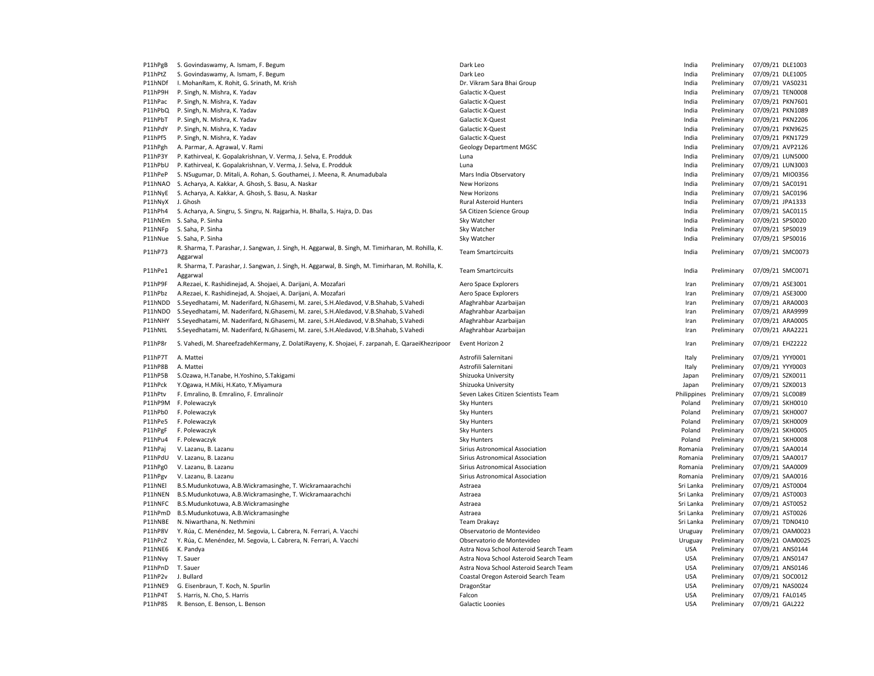| P11hPgB            | S. Govindaswamy, A. Ismam, F. Begum                                                                | Dark Leo                               | India                    | Preliminary                | 07/09/21 DLE1003                    |
|--------------------|----------------------------------------------------------------------------------------------------|----------------------------------------|--------------------------|----------------------------|-------------------------------------|
| P11hPtZ            | S. Govindaswamy, A. Ismam, F. Begum                                                                | Dark Leo                               | India                    | Preliminary                | 07/09/21 DLE1005                    |
| P11hNDf            | I. MohanRam, K. Rohit, G. Srinath, M. Krish                                                        | Dr. Vikram Sara Bhai Group             | India                    | Preliminary                | 07/09/21 VAS0231                    |
| P11hP9H            | P. Singh, N. Mishra, K. Yadav                                                                      | Galactic X-Quest                       | India                    | Preliminary                | 07/09/21 TEN0008                    |
| P11hPac            | P. Singh, N. Mishra, K. Yadav                                                                      | Galactic X-Quest                       | India                    | Preliminary                | 07/09/21 PKN7601                    |
| P11hPbQ            | P. Singh, N. Mishra, K. Yadav                                                                      | <b>Galactic X-Quest</b>                | India                    | Preliminary                | 07/09/21 PKN1089                    |
| P11hPbT            | P. Singh, N. Mishra, K. Yadav                                                                      | Galactic X-Quest                       | India                    | Preliminary                | 07/09/21 PKN2206                    |
| P11hPdY            | P. Singh, N. Mishra, K. Yadav                                                                      | <b>Galactic X-Quest</b>                | India                    | Preliminary                | 07/09/21 PKN9625                    |
| P11hPf5            | P. Singh, N. Mishra, K. Yadav                                                                      | Galactic X-Quest                       | India                    | Preliminary                | 07/09/21 PKN1729                    |
| P11hPgh            | A. Parmar, A. Agrawal, V. Rami                                                                     | <b>Geology Department MGSC</b>         | India                    | Preliminary                | 07/09/21 AVP2126                    |
| P11hP3Y            | P. Kathirveal, K. Gopalakrishnan, V. Verma, J. Selva, E. Prodduk                                   | Luna                                   | India                    | Preliminary                | 07/09/21 LUN5000                    |
| P11hPbU            | P. Kathirveal, K. Gopalakrishnan, V. Verma, J. Selva, E. Prodduk                                   | Luna                                   | India                    | Preliminary                | 07/09/21 LUN3003                    |
| P11hPeP            | S. NSugumar, D. Mitali, A. Rohan, S. Gouthamei, J. Meena, R. Anumadubala                           | Mars India Observatory                 | India                    | Preliminary                | 07/09/21 MIO0356                    |
| P11hNAO            | S. Acharya, A. Kakkar, A. Ghosh, S. Basu, A. Naskar                                                | New Horizons                           | India                    | Preliminary                | 07/09/21 SAC0191                    |
| P11hNyE            | S. Acharya, A. Kakkar, A. Ghosh, S. Basu, A. Naskar                                                | New Horizons                           | India                    | Preliminary                | 07/09/21 SAC0196                    |
| P11hNyX            | J. Ghosh                                                                                           | Rural Asteroid Hunters                 | India                    | Preliminary                | 07/09/21 JPA1333                    |
| P11hPh4            | S. Acharya, A. Singru, S. Singru, N. Rajgarhia, H. Bhalla, S. Hajra, D. Das                        | SA Citizen Science Group               | India                    | Preliminary                | 07/09/21 SAC0115                    |
|                    | P11hNEm S. Saha, P. Sinha                                                                          | Sky Watcher                            | India                    | Preliminary                | 07/09/21 SPS0020                    |
| P11hNFp            | S. Saha, P. Sinha                                                                                  | Sky Watcher                            | India                    | Preliminary                | 07/09/21 SPS0019                    |
| P11hNue            | S. Saha, P. Sinha                                                                                  | Sky Watcher                            | India                    | Preliminary                | 07/09/21 SPS0016                    |
|                    | R. Sharma, T. Parashar, J. Sangwan, J. Singh, H. Aggarwal, B. Singh, M. Timirharan, M. Rohilla, K. |                                        |                          |                            |                                     |
| P11hP73            | Aggarwal                                                                                           | <b>Team Smartcircuits</b>              | India                    | Preliminary                | 07/09/21 SMC0073                    |
|                    | R. Sharma, T. Parashar, J. Sangwan, J. Singh, H. Aggarwal, B. Singh, M. Timirharan, M. Rohilla, K. |                                        |                          |                            |                                     |
| P11hPe1            |                                                                                                    | <b>Team Smartcircuits</b>              | India                    | Preliminary                | 07/09/21 SMC0071                    |
|                    | Aggarwal                                                                                           |                                        |                          |                            |                                     |
| P11hP9F            | A.Rezaei, K. Rashidinejad, A. Shojaei, A. Darijani, A. Mozafari                                    | Aero Space Explorers                   | Iran                     | Preliminary                | 07/09/21 ASE3001                    |
| P11hPbz            | A.Rezaei, K. Rashidinejad, A. Shojaei, A. Darijani, A. Mozafari                                    | Aero Space Explorers                   | Iran                     | Preliminary                | 07/09/21 ASE3000                    |
| P11hNDD            | S.Seyedhatami, M. Naderifard, N.Ghasemi, M. zarei, S.H.Aledavod, V.B.Shahab, S.Vahedi              | Afaghrahbar Azarbaijan                 | Iran                     | Preliminary                | 07/09/21 ARA0003                    |
| P11hNDO            | S.Seyedhatami, M. Naderifard, N.Ghasemi, M. zarei, S.H.Aledavod, V.B.Shahab, S.Vahedi              | Afaghrahbar Azarbaijan                 | Iran                     | Preliminary                | 07/09/21 ARA9999                    |
| P11hNHY            | S.Seyedhatami, M. Naderifard, N.Ghasemi, M. zarei, S.H.Aledavod, V.B.Shahab, S.Vahedi              | Afaghrahbar Azarbaijan                 | Iran                     | Preliminary                | 07/09/21 ARA0005                    |
| P11hNtL            | S.Seyedhatami, M. Naderifard, N.Ghasemi, M. zarei, S.H.Aledavod, V.B.Shahab, S.Vahedi              | Afaghrahbar Azarbaijan                 | Iran                     | Preliminary                | 07/09/21 ARA2221                    |
| P11hP8r            | S. Vahedi, M. ShareefzadehKermany, Z. DolatiRayeny, K. Shojaei, F. zarpanah, E. QaraeiKhezripoor   | Event Horizon 2                        | Iran                     | Preliminary                | 07/09/21 EHZ2222                    |
| P11hP7T            | A. Mattei                                                                                          | Astrofili Salernitani                  | Italy                    | Preliminary                | 07/09/21 YYY0001                    |
| P11hP8B            | A. Mattei                                                                                          | Astrofili Salernitani                  | Italy                    | Preliminary                | 07/09/21 YYY0003                    |
| P11hP5B            | S.Ozawa, H.Tanabe, H.Yoshino, S.Takigami                                                           | Shizuoka University                    | Japan                    | Preliminary                | 07/09/21 SZK0011                    |
| P11hPck            | Y.Ogawa, H.Miki, H.Kato, Y.Miyamura                                                                | Shizuoka University                    | Japan                    | Preliminary                | 07/09/21 SZK0013                    |
| P11hPtv            | F. Emralino, B. Emralino, F. EmralinoJr                                                            | Seven Lakes Citizen Scientists Team    | Philippines              | Preliminary                | 07/09/21 SLC0089                    |
|                    | P11hP9M F. Polewaczyk                                                                              | Sky Hunters                            | Poland                   | Preliminary                | 07/09/21 SKH0010                    |
| P11hPb0            | F. Polewaczyk                                                                                      | Sky Hunters                            | Poland                   | Preliminary                | 07/09/21 SKH0007                    |
| P11hPe5            | F. Polewaczyk                                                                                      | Sky Hunters                            | Poland                   | Preliminary                | 07/09/21 SKH0009                    |
| P11hPgF            | F. Polewaczyk                                                                                      | Sky Hunters                            | Poland                   | Preliminary                | 07/09/21 SKH0005                    |
| P11hPu4            | F. Polewaczyk                                                                                      | Sky Hunters                            | Poland                   | Preliminary                | 07/09/21 SKH0008                    |
| P11hPaj            | V. Lazanu, B. Lazanu                                                                               | Sirius Astronomical Association        | Romania                  | Preliminary                | 07/09/21 SAA0014                    |
| P11hPdU            | V. Lazanu, B. Lazanu                                                                               | Sirius Astronomical Association        | Romania                  | Preliminary                | 07/09/21 SAA0017                    |
| P11hPg0            | V. Lazanu, B. Lazanu                                                                               | Sirius Astronomical Association        | Romania                  | Preliminary                | 07/09/21 SAA0009                    |
| P11hPgv            | V. Lazanu, B. Lazanu                                                                               | Sirius Astronomical Association        | Romania                  | Preliminary                | 07/09/21 SAA0016                    |
| P11hNEI            | B.S.Mudunkotuwa, A.B.Wickramasinghe, T. Wickramaarachchi                                           | Astraea                                | Sri Lanka                | Preliminary                | 07/09/21 AST0004                    |
| P11hNEN            | B.S.Mudunkotuwa, A.B.Wickramasinghe, T. Wickramaarachchi                                           | Astraea                                | Sri Lanka                | Preliminary                | 07/09/21 AST0003                    |
| P11hNFC            | B.S.Mudunkotuwa, A.B.Wickramasinghe                                                                | Astraea                                | Sri Lanka                | Preliminary                | 07/09/21 AST0052                    |
| P11hPmD            | B.S.Mudunkotuwa, A.B.Wickramasinghe                                                                | Astraea                                | Sri Lanka                | Preliminary                | 07/09/21 AST0026                    |
| P11hNBE            | N. Niwarthana, N. Nethmini                                                                         | Team Drakayz                           | Sri Lanka                | Preliminary                | 07/09/21 TDN0410                    |
| P11hP8V            | Y. Rúa, C. Menéndez, M. Segovia, L. Cabrera, N. Ferrari, A. Vacchi                                 | Observatorio de Montevideo             | Uruguay                  | Preliminary                | 07/09/21 OAM0023                    |
| P11hPcZ            | Y. Rúa, C. Menéndez, M. Segovia, L. Cabrera, N. Ferrari, A. Vacchi                                 | Observatorio de Montevideo             | Uruguay                  | Preliminary                | 07/09/21 OAM0025                    |
|                    |                                                                                                    |                                        |                          |                            |                                     |
|                    |                                                                                                    |                                        |                          |                            |                                     |
| P11hNE6            | K. Pandya                                                                                          | Astra Nova School Asteroid Search Team | <b>USA</b>               | Preliminary                | 07/09/21 ANS0144                    |
| P11hNvy            | T. Sauer                                                                                           | Astra Nova School Asteroid Search Team | <b>USA</b>               | Preliminary                | 07/09/21 ANS0147                    |
| P11hPnD            | T. Sauer                                                                                           | Astra Nova School Asteroid Search Team | <b>USA</b>               | Preliminary                | 07/09/21 ANS0146                    |
| P11hP2v            | J. Bullard                                                                                         | Coastal Oregon Asteroid Search Team    | <b>USA</b>               | Preliminary                | 07/09/21 SOC0012                    |
| P11hNE9            | G. Eisenbraun, T. Koch, N. Spurlin                                                                 | DragonStar                             | <b>USA</b>               | Preliminary                | 07/09/21 NAS0024                    |
| P11hP4T<br>P11hP8S | S. Harris, N. Cho, S. Harris<br>R. Benson, E. Benson, L. Benson                                    | Falcon<br>Galactic Loonies             | <b>USA</b><br><b>USA</b> | Preliminary<br>Preliminary | 07/09/21 FAL0145<br>07/09/21 GAL222 |